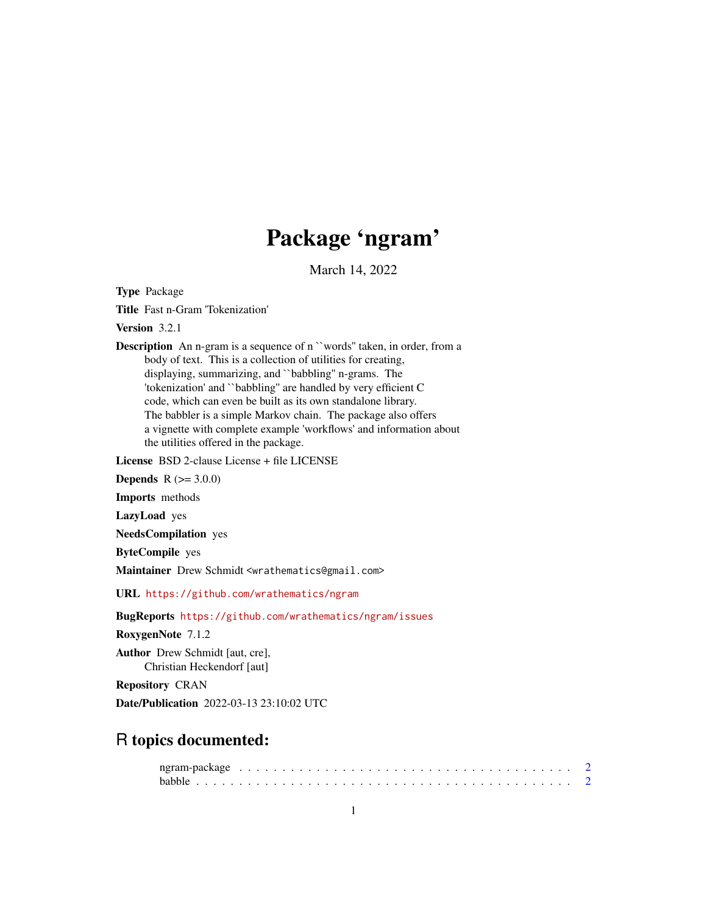# Package 'ngram'

March 14, 2022

Type Package

Title Fast n-Gram 'Tokenization'

Version 3.2.1

Description An n-gram is a sequence of n ``words'' taken, in order, from a body of text. This is a collection of utilities for creating, displaying, summarizing, and ``babbling'' n-grams. The 'tokenization' and ``babbling'' are handled by very efficient C code, which can even be built as its own standalone library. The babbler is a simple Markov chain. The package also offers a vignette with complete example 'workflows' and information about the utilities offered in the package.

License BSD 2-clause License + file LICENSE

**Depends**  $R (= 3.0.0)$ 

Imports methods

LazyLoad yes

NeedsCompilation yes

ByteCompile yes

Maintainer Drew Schmidt <wrathematics@gmail.com>

URL <https://github.com/wrathematics/ngram>

BugReports <https://github.com/wrathematics/ngram/issues>

RoxygenNote 7.1.2

Author Drew Schmidt [aut, cre], Christian Heckendorf [aut]

Repository CRAN

Date/Publication 2022-03-13 23:10:02 UTC

# R topics documented: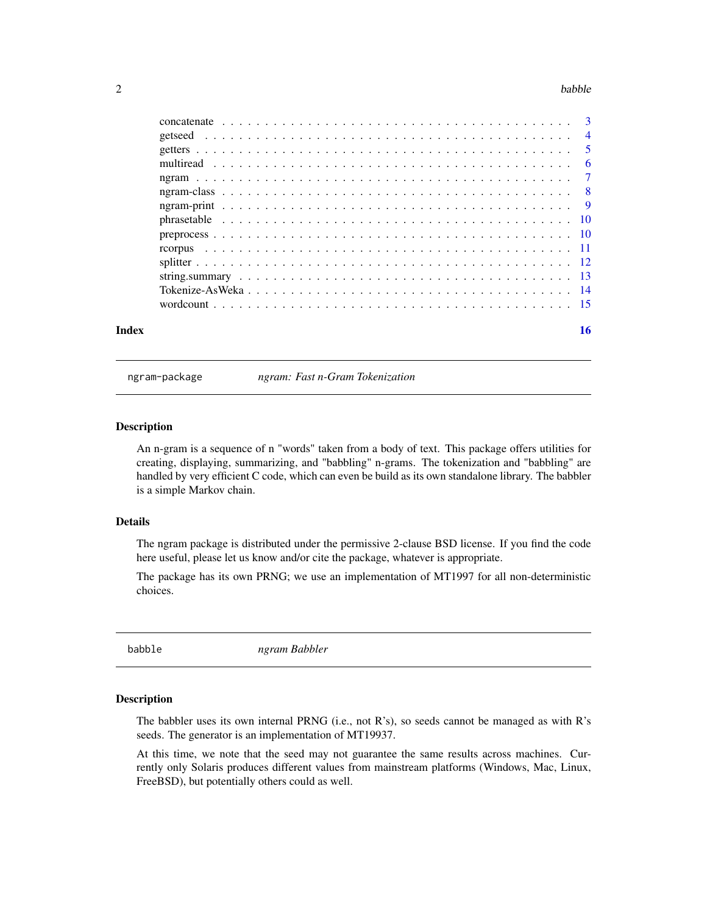#### <span id="page-1-0"></span>2 babble **babble** back of the state of the state of the state of the state of the state of the state of the state of the state of the state of the state of the state of the state of the state of the state of the state of t

| Index | 16 |
|-------|----|

ngram-package *ngram: Fast n-Gram Tokenization*

#### Description

An n-gram is a sequence of n "words" taken from a body of text. This package offers utilities for creating, displaying, summarizing, and "babbling" n-grams. The tokenization and "babbling" are handled by very efficient C code, which can even be build as its own standalone library. The babbler is a simple Markov chain.

#### Details

The ngram package is distributed under the permissive 2-clause BSD license. If you find the code here useful, please let us know and/or cite the package, whatever is appropriate.

The package has its own PRNG; we use an implementation of MT1997 for all non-deterministic choices.

<span id="page-1-1"></span>babble *ngram Babbler*

### Description

The babbler uses its own internal PRNG (i.e., not R's), so seeds cannot be managed as with R's seeds. The generator is an implementation of MT19937.

At this time, we note that the seed may not guarantee the same results across machines. Currently only Solaris produces different values from mainstream platforms (Windows, Mac, Linux, FreeBSD), but potentially others could as well.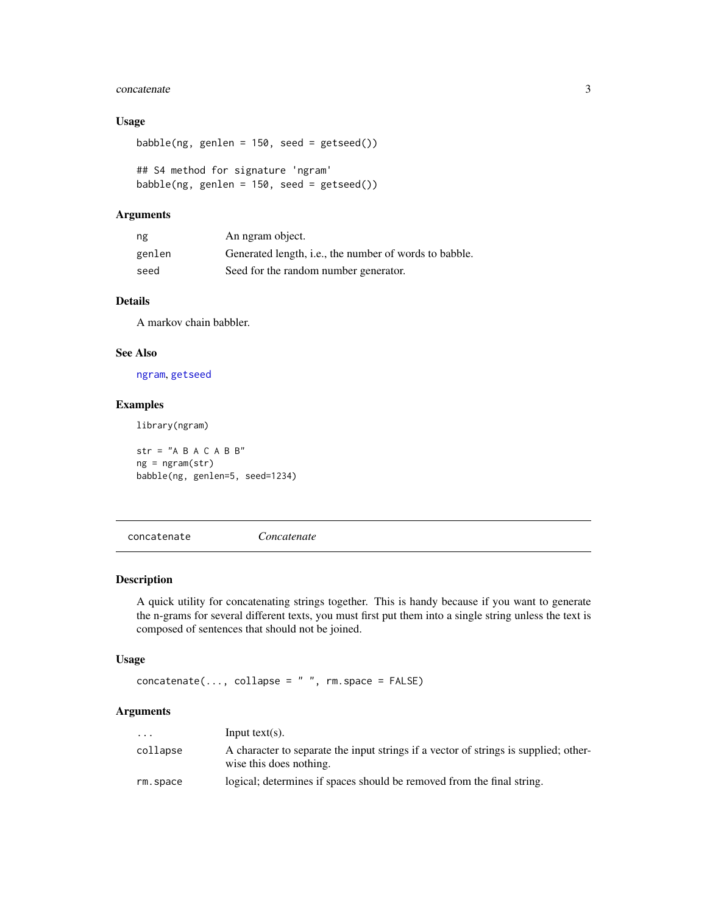#### <span id="page-2-0"></span>concatenate 3

#### Usage

babble(ng, genlen =  $150$ , seed = getseed())

## S4 method for signature 'ngram' babble(ng, genlen = 150, seed = getseed())

#### Arguments

| ng     | An ngram object.                                       |
|--------|--------------------------------------------------------|
| genlen | Generated length, i.e., the number of words to babble. |
| seed   | Seed for the random number generator.                  |

### Details

A markov chain babbler.

#### See Also

[ngram](#page-6-1), [getseed](#page-3-1)

#### Examples

library(ngram)

 $str = "A B A C A B B"$ ng = ngram(str) babble(ng, genlen=5, seed=1234)

concatenate *Concatenate*

#### Description

A quick utility for concatenating strings together. This is handy because if you want to generate the n-grams for several different texts, you must first put them into a single string unless the text is composed of sentences that should not be joined.

### Usage

```
concatenate(..., collapse = " " , rm.space = FALSE)
```
### Arguments

| $\cdots$ | Input text(s).                                                                                                  |
|----------|-----------------------------------------------------------------------------------------------------------------|
| collapse | A character to separate the input strings if a vector of strings is supplied; other-<br>wise this does nothing. |
| rm.space | logical; determines if spaces should be removed from the final string.                                          |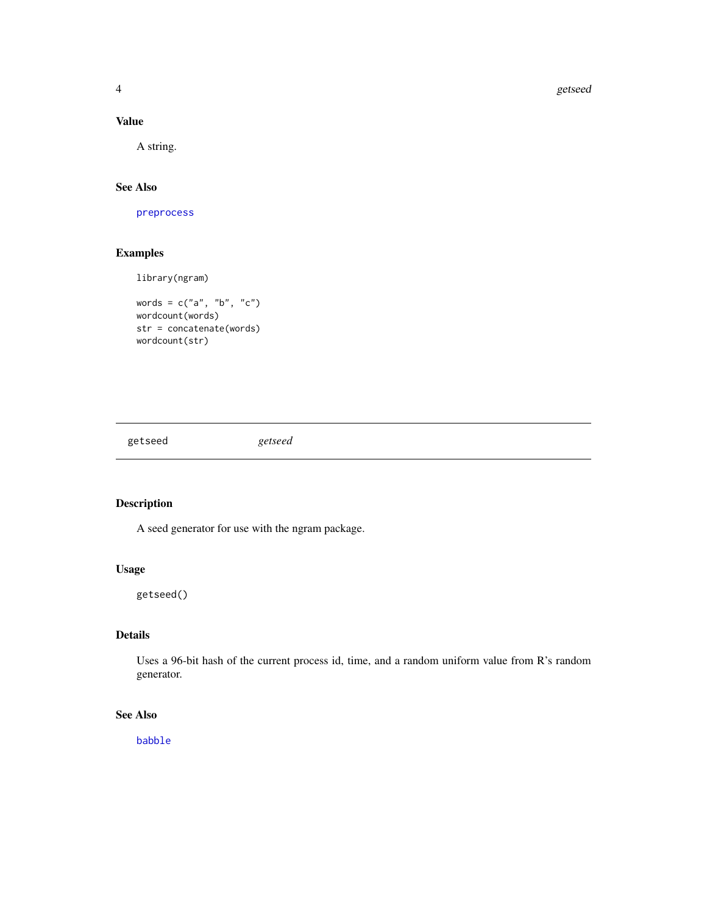4 getseed

### Value

A string.

# See Also

[preprocess](#page-9-1)

### Examples

library(ngram)

```
words = c("a", "b", "c")
wordcount(words)
str = concatenate(words)
wordcount(str)
```
<span id="page-3-1"></span>getseed *getseed*

### Description

A seed generator for use with the ngram package.

# Usage

getseed()

# Details

Uses a 96-bit hash of the current process id, time, and a random uniform value from R's random generator.

# See Also

[babble](#page-1-1)

<span id="page-3-0"></span>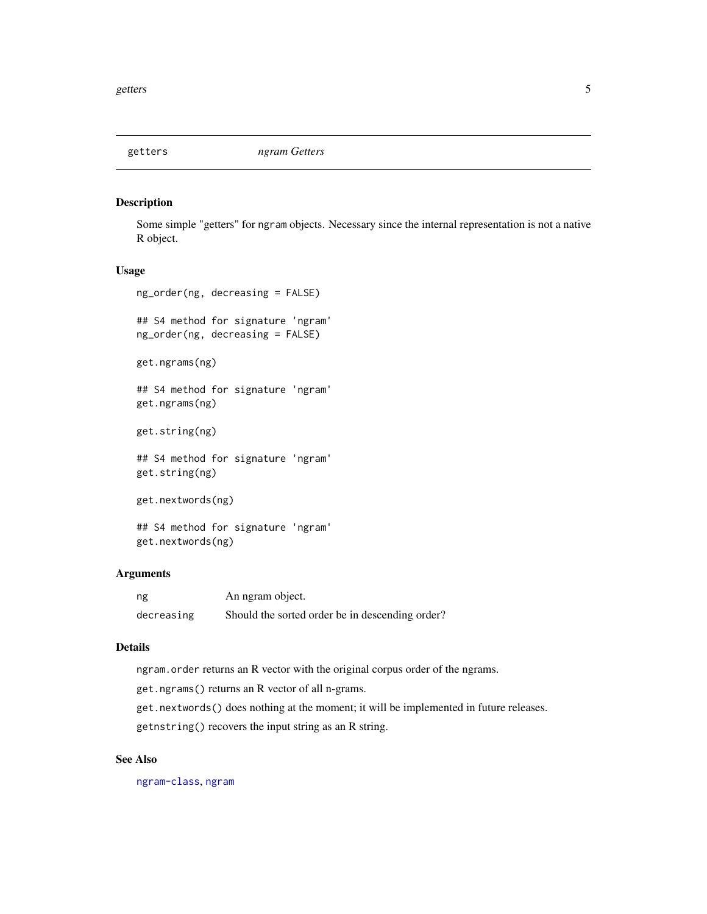<span id="page-4-1"></span><span id="page-4-0"></span>

### Description

Some simple "getters" for ngram objects. Necessary since the internal representation is not a native R object.

#### Usage

ng\_order(ng, decreasing = FALSE)

## S4 method for signature 'ngram' ng\_order(ng, decreasing = FALSE)

get.ngrams(ng)

## S4 method for signature 'ngram' get.ngrams(ng)

get.string(ng)

## S4 method for signature 'ngram' get.string(ng)

get.nextwords(ng)

## S4 method for signature 'ngram' get.nextwords(ng)

#### Arguments

| ng         | An ngram object.                                |
|------------|-------------------------------------------------|
| decreasing | Should the sorted order be in descending order? |

# Details

ngram.order returns an R vector with the original corpus order of the ngrams.

get.ngrams() returns an R vector of all n-grams.

get.nextwords() does nothing at the moment; it will be implemented in future releases.

getnstring() recovers the input string as an R string.

#### See Also

[ngram-class](#page-7-1), [ngram](#page-6-1)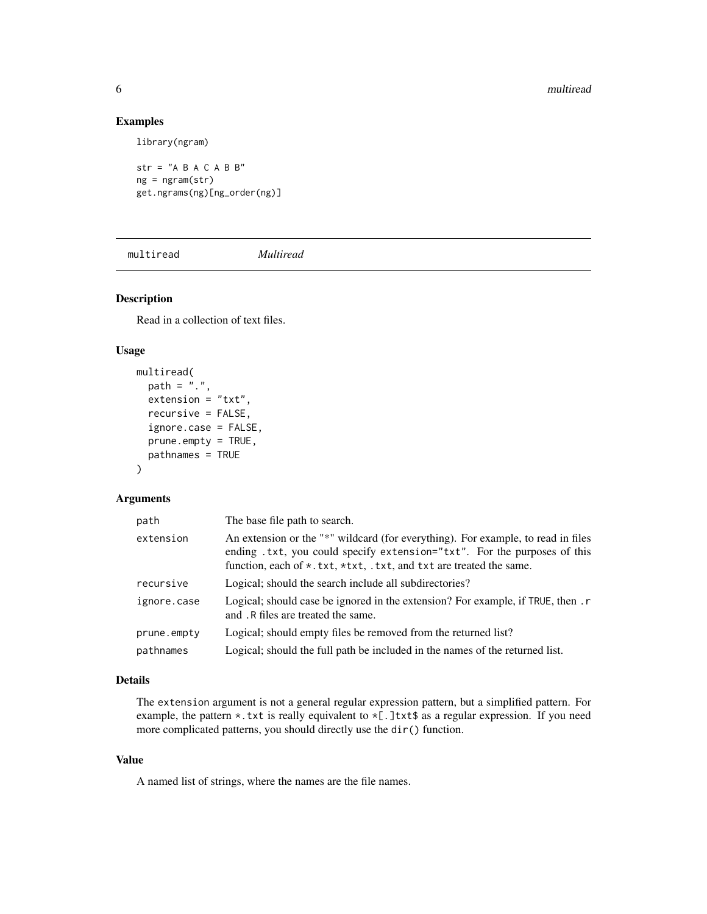### Examples

library(ngram)

 $str = "A B A C A B B"$  $ng = ngram(str)$ get.ngrams(ng)[ng\_order(ng)]

multiread *Multiread*

# Description

Read in a collection of text files.

#### Usage

```
multiread(
 path = ".'',extension = "txt",
  recursive = FALSE,
  ignore.case = FALSE,
  prune.empty = TRUE,
 pathnames = TRUE
)
```
#### Arguments

| path        | The base file path to search.                                                                                                                                                                                                                      |
|-------------|----------------------------------------------------------------------------------------------------------------------------------------------------------------------------------------------------------------------------------------------------|
| extension   | An extension or the "*" wildcard (for everything). For example, to read in files<br>ending .txt, you could specify extension="txt". For the purposes of this<br>function, each of $\star$ . txt, $\star$ txt, . txt, and txt are treated the same. |
| recursive   | Logical; should the search include all subdirectories?                                                                                                                                                                                             |
| ignore.case | Logical; should case be ignored in the extension? For example, if TRUE, then . r<br>and .R files are treated the same.                                                                                                                             |
| prune.empty | Logical; should empty files be removed from the returned list?                                                                                                                                                                                     |
| pathnames   | Logical; should the full path be included in the names of the returned list.                                                                                                                                                                       |

#### Details

The extension argument is not a general regular expression pattern, but a simplified pattern. For example, the pattern  $\star$ . txt is really equivalent to  $\star$ [.]txt\$ as a regular expression. If you need more complicated patterns, you should directly use the dir() function.

#### Value

A named list of strings, where the names are the file names.

<span id="page-5-0"></span>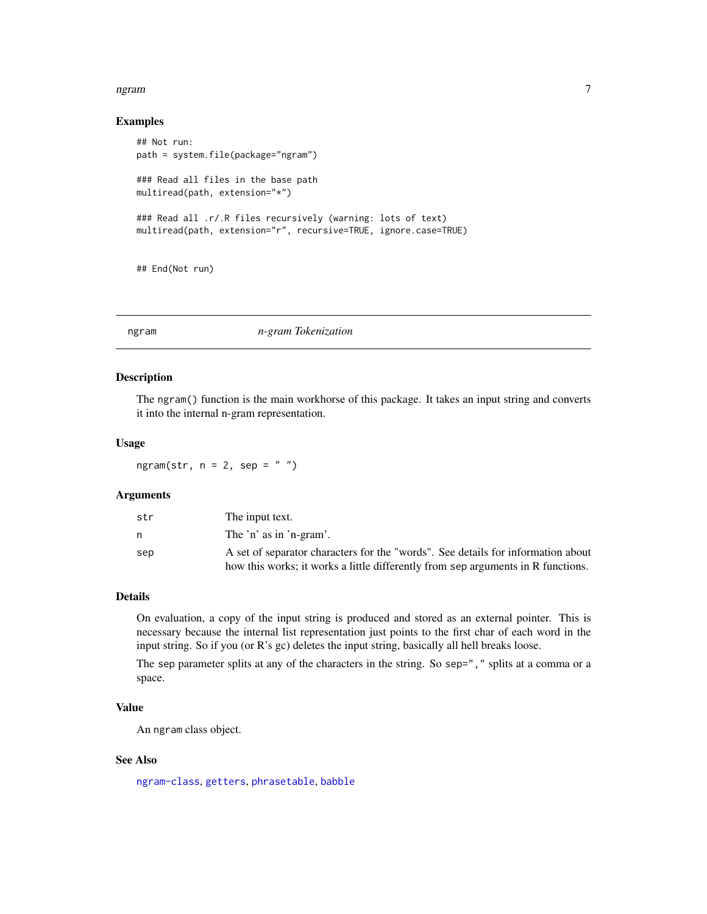#### <span id="page-6-0"></span>ngram 2008 - 2008 - 2008 - 2008 - 2008 - 2008 - 2008 - 2008 - 2008 - 2008 - 2008 - 2008 - 2008 - 2008 - 2008 -

#### Examples

```
## Not run:
path = system.file(package="ngram")
### Read all files in the base path
multiread(path, extension="*")
### Read all .r/.R files recursively (warning: lots of text)
multiread(path, extension="r", recursive=TRUE, ignore.case=TRUE)
## End(Not run)
```
<span id="page-6-1"></span>

| ngram | n-gram Tokenization |  |
|-------|---------------------|--|
|-------|---------------------|--|

#### Description

The ngram() function is the main workhorse of this package. It takes an input string and converts it into the internal n-gram representation.

#### Usage

ngram(str,  $n = 2$ , sep = "")

# Arguments

| str | The input text.                                                                  |
|-----|----------------------------------------------------------------------------------|
| n   | The 'n' as in 'n-gram'.                                                          |
| sep | A set of separator characters for the "words". See details for information about |
|     | how this works; it works a little differently from sep arguments in R functions. |

#### Details

On evaluation, a copy of the input string is produced and stored as an external pointer. This is necessary because the internal list representation just points to the first char of each word in the input string. So if you (or R's gc) deletes the input string, basically all hell breaks loose.

The sep parameter splits at any of the characters in the string. So sep="," splits at a comma or a space.

### Value

An ngram class object.

#### See Also

[ngram-class](#page-7-1), [getters](#page-4-1), [phrasetable](#page-9-2), [babble](#page-1-1)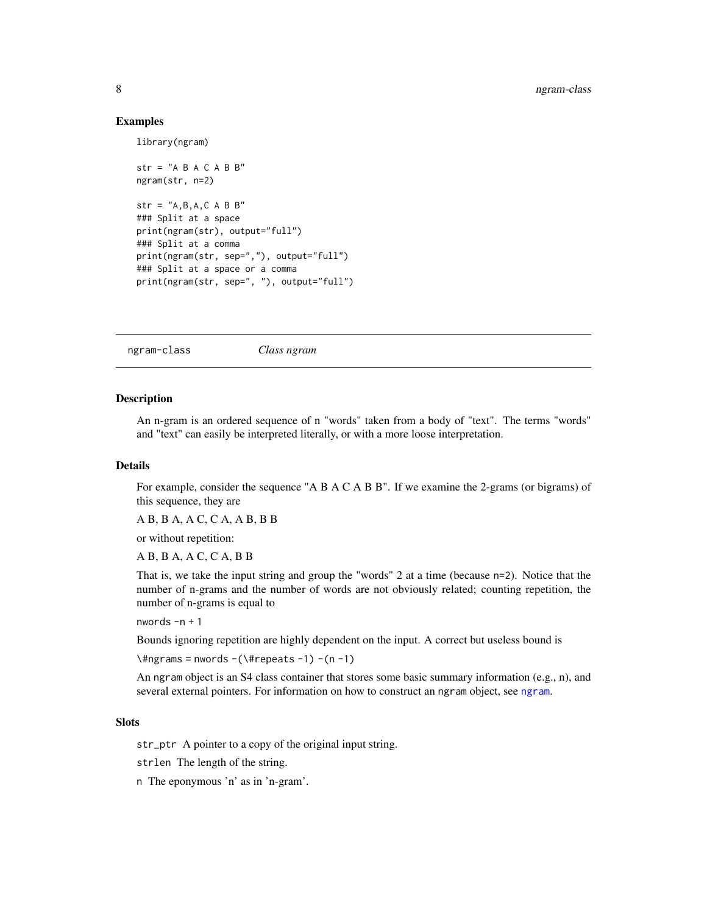#### Examples

library(ngram)

```
str = "A B A C A B B"ngram(str, n=2)
str = "A, B, A, C \land B \land B"### Split at a space
print(ngram(str), output="full")
### Split at a comma
print(ngram(str, sep=","), output="full")
### Split at a space or a comma
print(ngram(str, sep=", "), output="full")
```
<span id="page-7-1"></span>ngram-class *Class ngram*

#### Description

An n-gram is an ordered sequence of n "words" taken from a body of "text". The terms "words" and "text" can easily be interpreted literally, or with a more loose interpretation.

#### Details

For example, consider the sequence "A B A C A B B". If we examine the 2-grams (or bigrams) of this sequence, they are

A B, B A, A C, C A, A B, B B

or without repetition:

A B, B A, A C, C A, B B

That is, we take the input string and group the "words" 2 at a time (because n=2). Notice that the number of n-grams and the number of words are not obviously related; counting repetition, the number of n-grams is equal to

nwords -n + 1

Bounds ignoring repetition are highly dependent on the input. A correct but useless bound is

 $\\times$ #ngrams = nwords -( $\t\times$ #repeats -1) -(n -1)

An ngram object is an S4 class container that stores some basic summary information (e.g., n), and several external pointers. For information on how to construct an ngram object, see [ngram](#page-6-1).

#### **Slots**

str\_ptr A pointer to a copy of the original input string.

strlen The length of the string.

n The eponymous 'n' as in 'n-gram'.

<span id="page-7-0"></span>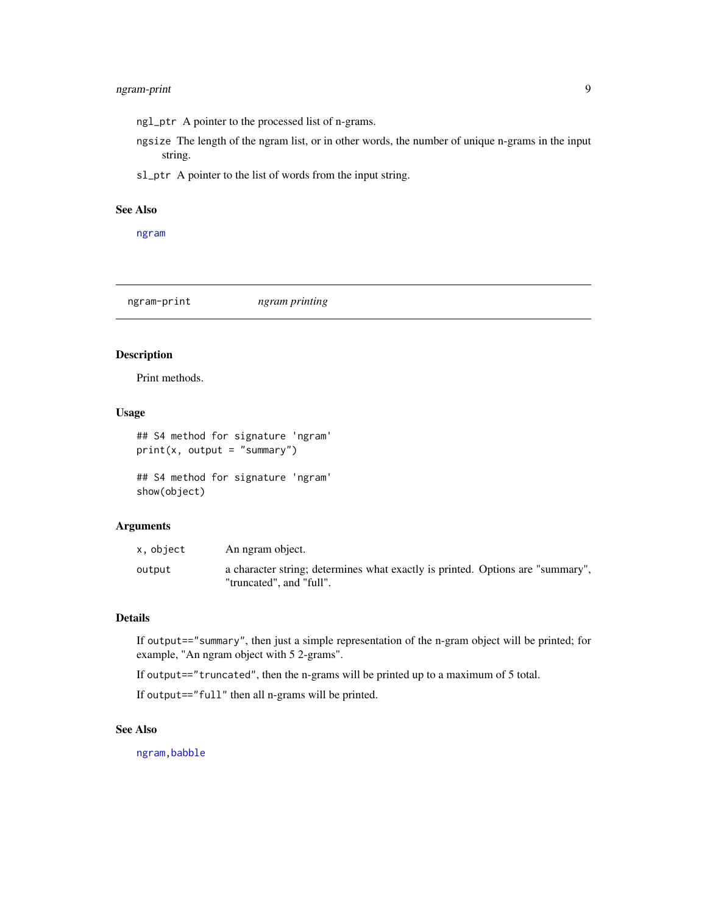### <span id="page-8-0"></span>ngram-print 9

ngl\_ptr A pointer to the processed list of n-grams.

- ngsize The length of the ngram list, or in other words, the number of unique n-grams in the input string.
- sl\_ptr A pointer to the list of words from the input string.

#### See Also

[ngram](#page-6-1)

ngram-print *ngram printing*

# Description

Print methods.

#### Usage

```
## S4 method for signature 'ngram'
print(x, output = "summary")
```

```
## S4 method for signature 'ngram'
show(object)
```
### Arguments

| x, object | An ngram object.                                                                                           |
|-----------|------------------------------------------------------------------------------------------------------------|
| output    | a character string; determines what exactly is printed. Options are "summary",<br>"truncated", and "full". |

# Details

If output=="summary", then just a simple representation of the n-gram object will be printed; for example, "An ngram object with 5 2-grams".

If output=="truncated", then the n-grams will be printed up to a maximum of 5 total.

If output=="full" then all n-grams will be printed.

#### See Also

[ngram](#page-6-1)[,babble](#page-1-1)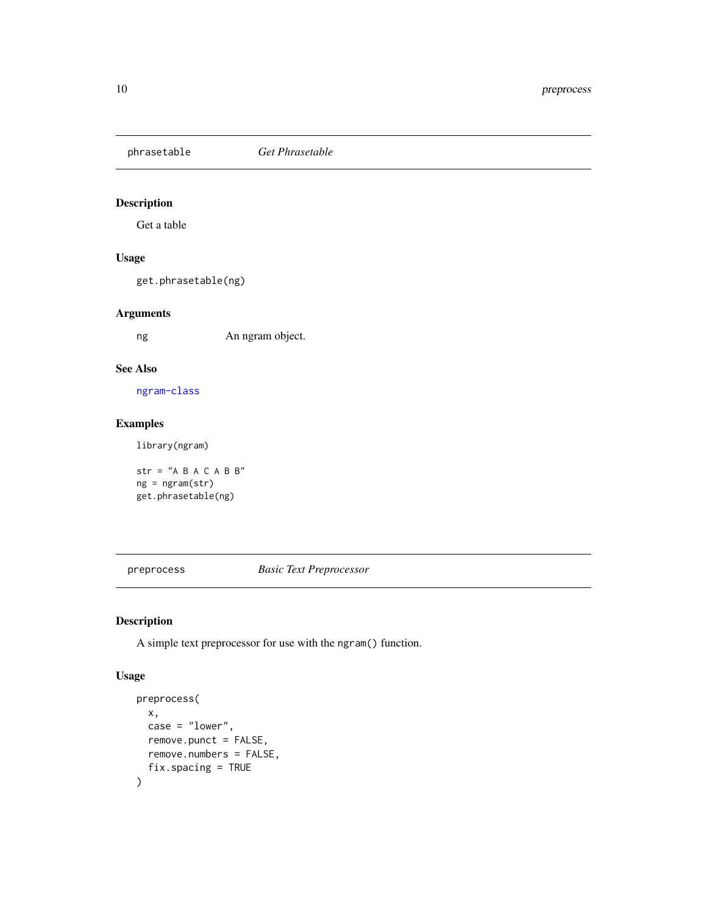<span id="page-9-2"></span><span id="page-9-0"></span>phrasetable *Get Phrasetable*

# Description

Get a table

### Usage

get.phrasetable(ng)

#### Arguments

ng An ngram object.

### See Also

[ngram-class](#page-7-1)

### Examples

library(ngram)

str = " $A$  B A C A B B" ng = ngram(str) get.phrasetable(ng)

<span id="page-9-1"></span>preprocess *Basic Text Preprocessor*

### Description

A simple text preprocessor for use with the ngram() function.

#### Usage

```
preprocess(
  x,
  case = "lower",remove.punct = FALSE,
  remove.numbers = FALSE,
  fix.spacing = TRUE
\mathcal{E}
```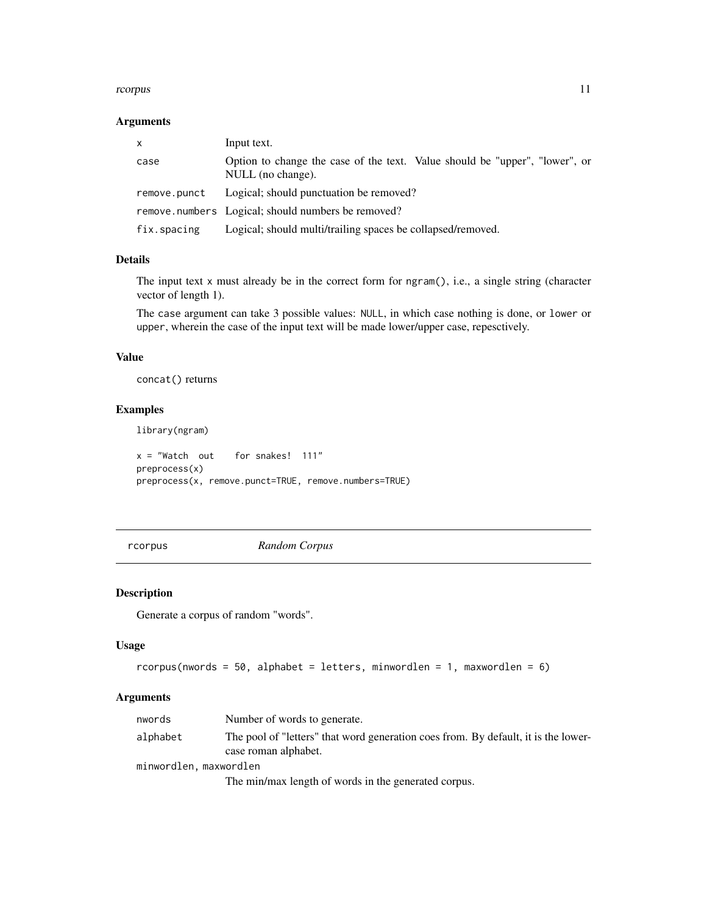#### <span id="page-10-0"></span>rcorpus to the control of the control of the control of the control of the control of the control of the control of the control of the control of the control of the control of the control of the control of the control of t

#### Arguments

| X            | Input text.                                                                                      |
|--------------|--------------------------------------------------------------------------------------------------|
| case         | Option to change the case of the text. Value should be "upper", "lower", or<br>NULL (no change). |
| remove.punct | Logical; should punctuation be removed?                                                          |
|              | remove.numbers Logical; should numbers be removed?                                               |
| fix.spacing  | Logical; should multi/trailing spaces be collapsed/removed.                                      |

#### Details

The input text  $x$  must already be in the correct form for  $ngram()$ , i.e., a single string (character vector of length 1).

The case argument can take 3 possible values: NULL, in which case nothing is done, or lower or upper, wherein the case of the input text will be made lower/upper case, repesctively.

#### Value

concat() returns

#### Examples

library(ngram)

 $x = "Watch out for snake. 111"$ preprocess(x) preprocess(x, remove.punct=TRUE, remove.numbers=TRUE)

rcorpus *Random Corpus*

#### Description

Generate a corpus of random "words".

#### Usage

```
rcorpus(nwords = 50, alphabet = letters, minwordlen = 1, maxwordlen = 6)
```
#### Arguments

| nwords                 | Number of words to generate.                                                                               |  |  |  |  |
|------------------------|------------------------------------------------------------------------------------------------------------|--|--|--|--|
| alphabet               | The pool of "letters" that word generation coes from. By default, it is the lower-<br>case roman alphabet. |  |  |  |  |
| minwordlen, maxwordlen |                                                                                                            |  |  |  |  |
|                        | The min/max length of words in the generated corpus.                                                       |  |  |  |  |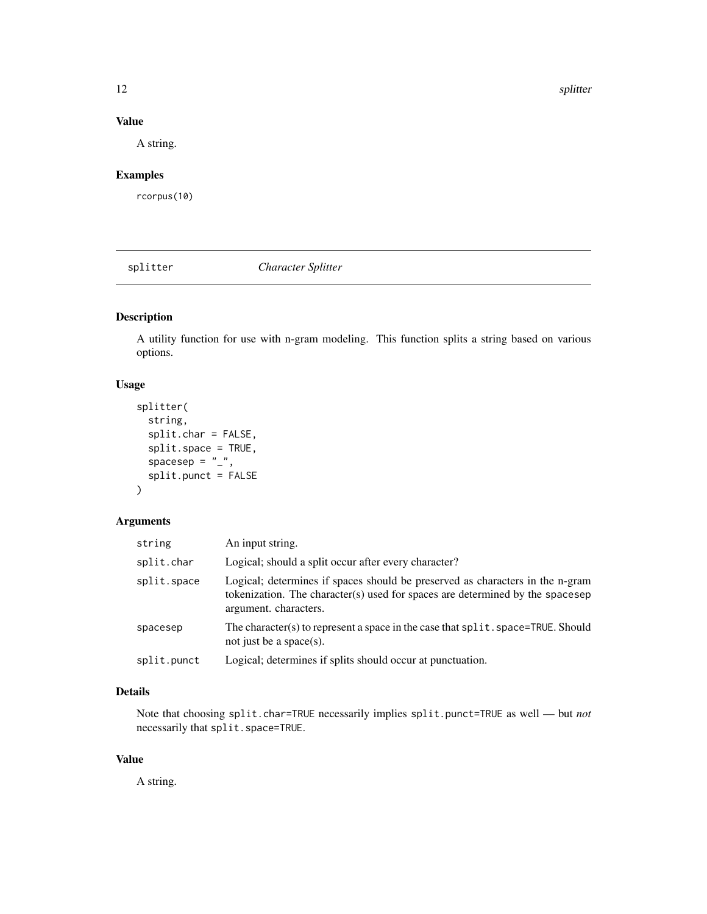12 splitter and the splitter of the splitter and the splitter of the splitter of the splitter of the splitter

# Value

A string.

# Examples

rcorpus(10)

splitter *Character Splitter*

# Description

A utility function for use with n-gram modeling. This function splits a string based on various options.

# Usage

```
splitter(
  string,
  split.char = FALSE,
  split.space = TRUE,
  spacesep = "<sub>-</sub>",
  split.punct = FALSE
)
```
### Arguments

| string      | An input string.                                                                                                                                                                        |
|-------------|-----------------------------------------------------------------------------------------------------------------------------------------------------------------------------------------|
| split.char  | Logical; should a split occur after every character?                                                                                                                                    |
| split.space | Logical; determines if spaces should be preserved as characters in the n-gram<br>tokenization. The character(s) used for spaces are determined by the spacesep<br>argument. characters. |
| spacesep    | The character(s) to represent a space in the case that split. space=TRUE. Should<br>not just be a space(s).                                                                             |
| split.punct | Logical; determines if splits should occur at punctuation.                                                                                                                              |

# Details

Note that choosing split.char=TRUE necessarily implies split.punct=TRUE as well — but *not* necessarily that split.space=TRUE.

# Value

A string.

<span id="page-11-0"></span>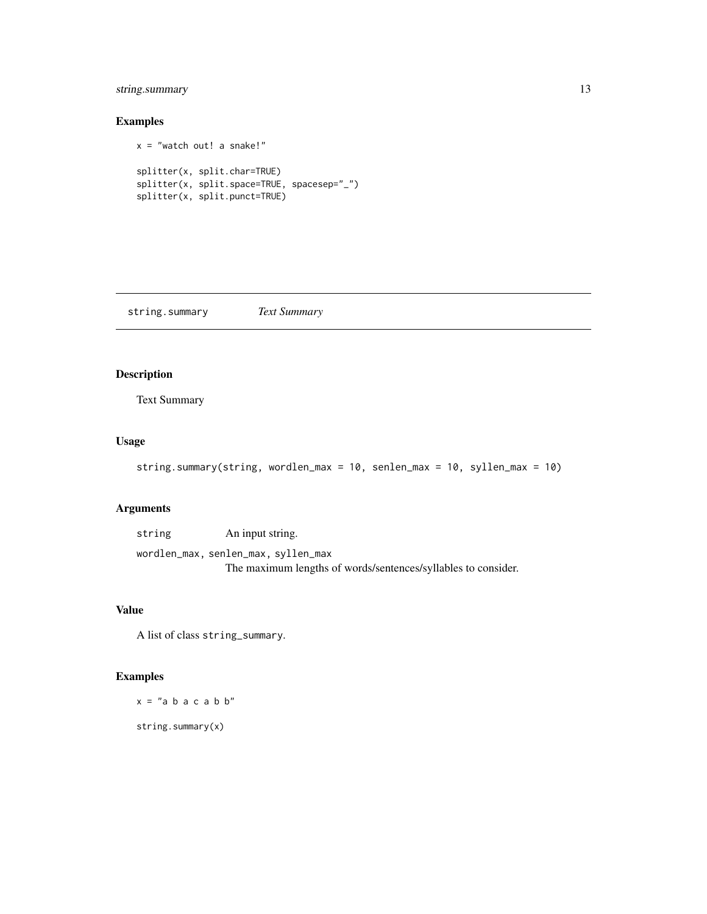### <span id="page-12-0"></span>string.summary 13

# Examples

```
x = "watch out! a snake!"
splitter(x, split.char=TRUE)
splitter(x, split.space=TRUE, spacesep="_")
splitter(x, split.punct=TRUE)
```
string.summary *Text Summary*

# Description

Text Summary

# Usage

```
string.summary(string, wordlen_max = 10, senlen_max = 10, syllen_max = 10)
```
#### Arguments

| string | An input string.                                              |
|--------|---------------------------------------------------------------|
|        | wordlen_max, senlen_max, syllen_max                           |
|        | The maximum lengths of words/sentences/syllables to consider. |

# Value

A list of class string\_summary.

### Examples

 $x = "a b a c a b b"$ 

string.summary(x)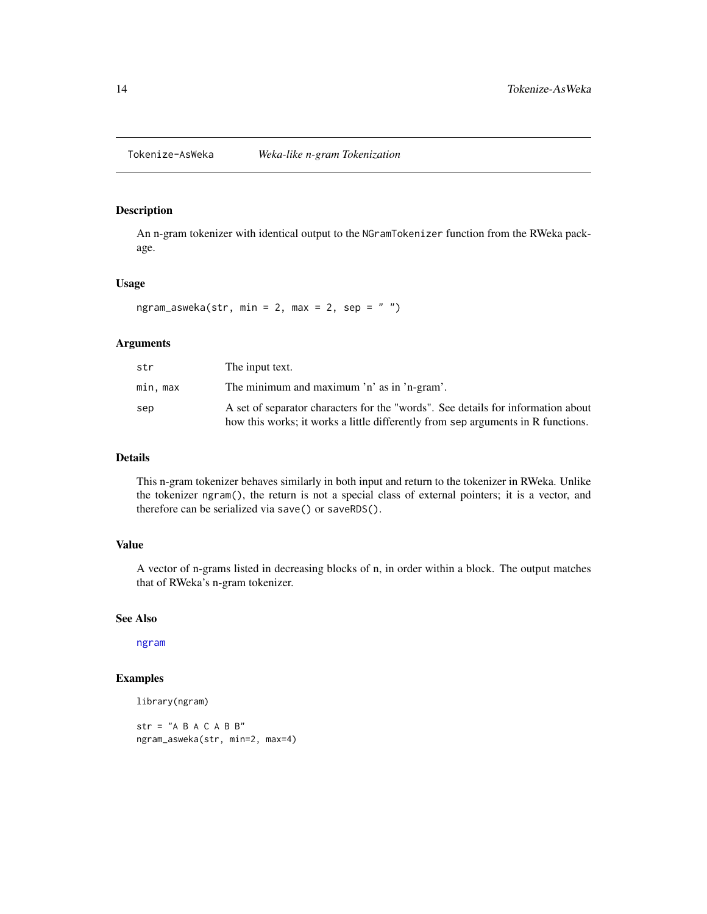#### <span id="page-13-0"></span>Description

An n-gram tokenizer with identical output to the NGramTokenizer function from the RWeka package.

#### Usage

ngram\_asweka(str, min = 2, max = 2, sep =  $"$ ")

#### Arguments

| str      | The input text.                                                                                                                                                      |
|----------|----------------------------------------------------------------------------------------------------------------------------------------------------------------------|
| min. max | The minimum and maximum 'n' as in 'n-gram'.                                                                                                                          |
| sep      | A set of separator characters for the "words". See details for information about<br>how this works; it works a little differently from sep arguments in R functions. |

#### Details

This n-gram tokenizer behaves similarly in both input and return to the tokenizer in RWeka. Unlike the tokenizer ngram(), the return is not a special class of external pointers; it is a vector, and therefore can be serialized via save() or saveRDS().

#### Value

A vector of n-grams listed in decreasing blocks of n, in order within a block. The output matches that of RWeka's n-gram tokenizer.

#### See Also

[ngram](#page-6-1)

### Examples

```
library(ngram)
```
 $str = "A B A C A B B"$ ngram\_asweka(str, min=2, max=4)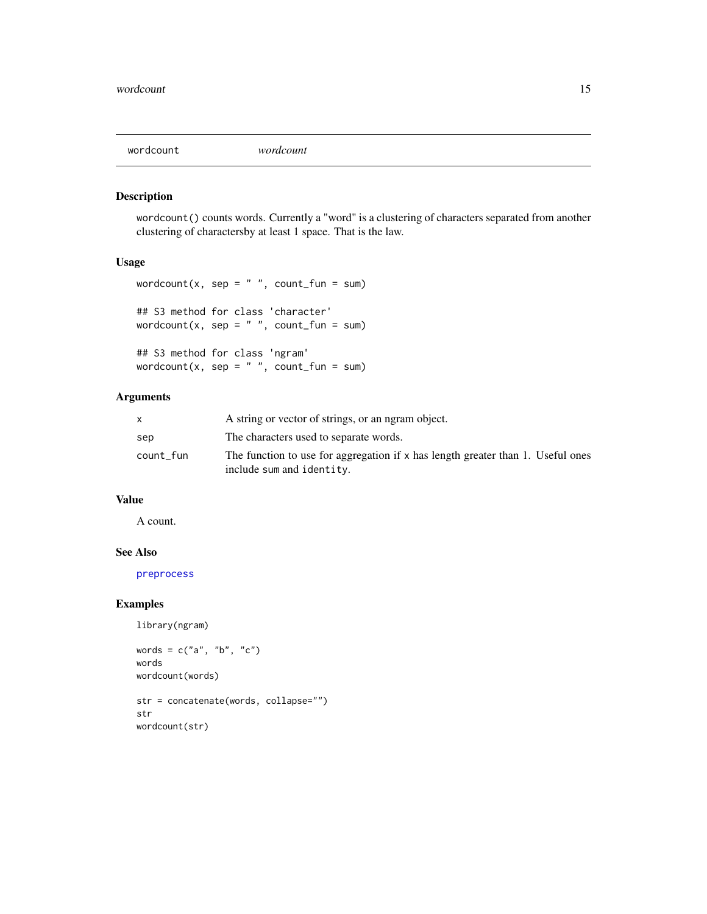<span id="page-14-0"></span>

### Description

wordcount() counts words. Currently a "word" is a clustering of characters separated from another clustering of charactersby at least 1 space. That is the law.

#### Usage

```
wordcount(x, sep = " ", count_fun = sum)
## S3 method for class 'character'
wordcount(x, sep = ", count_fun = sum)
## S3 method for class 'ngram'
wordcount(x, sep = ", count_fun = sum)
```
# Arguments

|           | A string or vector of strings, or an ngram object.                                |
|-----------|-----------------------------------------------------------------------------------|
| sep       | The characters used to separate words.                                            |
| count fun | The function to use for aggregation if $x$ has length greater than 1. Useful ones |
|           | include sum and identity.                                                         |

#### Value

A count.

#### See Also

[preprocess](#page-9-1)

#### Examples

```
library(ngram)
```

```
words = c("a", "b", "c")words
wordcount(words)
```

```
str = concatenate(words, collapse="")
str
wordcount(str)
```